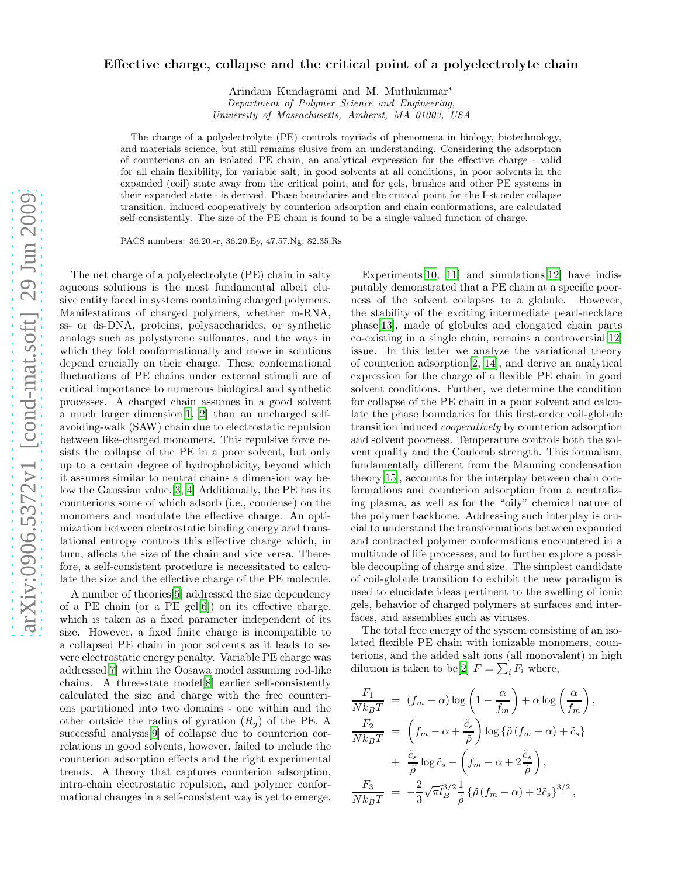## Effective charge, collapse and the critical point of a polyelectrolyte chain

Arindam Kundagrami and M. Muthukumar<sup>∗</sup> Department of Polymer Science and Engineering, University of Massachusetts, Amherst, MA 01003, USA

The charge of a polyelectrolyte (PE) controls myriads of phenomena in biology, biotechnology, and materials science, but still remains elusive from an understanding. Considering the adsorption of counterions on an isolated PE chain, an analytical expression for the effective charge - valid for all chain flexibility, for variable salt, in good solvents at all conditions, in poor solvents in the expanded (coil) state away from the critical point, and for gels, brushes and other PE systems in their expanded state - is derived. Phase boundaries and the critical point for the I-st order collapse transition, induced cooperatively by counterion adsorption and chain conformations, are calculated self-consistently. The size of the PE chain is found to be a single-valued function of charge.

PACS numbers: 36.20.-r, 36.20.Ey, 47.57.Ng, 82.35.Rs

The net charge of a polyelectrolyte (PE) chain in salty aqueous solutions is the most fundamental albeit elusive entity faced in systems containing charged polymers. Manifestations of charged polymers, whether m-RNA, ss- or ds-DNA, proteins, polysaccharides, or synthetic analogs such as polystyrene sulfonates, and the ways in which they fold conformationally and move in solutions depend crucially on their charge. These conformational fluctuations of PE chains under external stimuli are of critical importance to numerous biological and synthetic processes. A charged chain assumes in a good solvent a much larger dimension[\[1,](#page-3-0) [2](#page-3-1)] than an uncharged selfavoiding-walk (SAW) chain due to electrostatic repulsion between like-charged monomers. This repulsive force resists the collapse of the PE in a poor solvent, but only up to a certain degree of hydrophobicity, beyond which it assumes similar to neutral chains a dimension way below the Gaussian value.[\[3](#page-3-2), [4\]](#page-3-3) Additionally, the PE has its counterions some of which adsorb (i.e., condense) on the monomers and modulate the effective charge. An optimization between electrostatic binding energy and translational entropy controls this effective charge which, in turn, affects the size of the chain and vice versa. Therefore, a self-consistent procedure is necessitated to calculate the size and the effective charge of the PE molecule.

A number of theories[\[5\]](#page-3-4) addressed the size dependency of a PE chain (or a PE gel[\[6](#page-3-5)]) on its effective charge, which is taken as a fixed parameter independent of its size. However, a fixed finite charge is incompatible to a collapsed PE chain in poor solvents as it leads to severe electrostatic energy penalty. Variable PE charge was addressed[\[7\]](#page-3-6) within the Oosawa model assuming rod-like chains. A three-state model[\[8\]](#page-3-7) earlier self-consistently calculated the size and charge with the free counterions partitioned into two domains - one within and the other outside the radius of gyration  $(R_q)$  of the PE. A successful analysis[\[9](#page-3-8)] of collapse due to counterion correlations in good solvents, however, failed to include the counterion adsorption effects and the right experimental trends. A theory that captures counterion adsorption, intra-chain electrostatic repulsion, and polymer conformational changes in a self-consistent way is yet to emerge.

Experiments[\[10,](#page-3-9) [11](#page-3-10)] and simulations[\[12\]](#page-3-11) have indisputably demonstrated that a PE chain at a specific poorness of the solvent collapses to a globule. However, the stability of the exciting intermediate pearl-necklace phase[\[13](#page-3-12)], made of globules and elongated chain parts co-existing in a single chain, remains a controversial[\[12\]](#page-3-11) issue. In this letter we analyze the variational theory of counterion adsorption[\[2,](#page-3-1) [14\]](#page-3-13), and derive an analytical expression for the charge of a flexible PE chain in good solvent conditions. Further, we determine the condition for collapse of the PE chain in a poor solvent and calculate the phase boundaries for this first-order coil-globule transition induced cooperatively by counterion adsorption and solvent poorness. Temperature controls both the solvent quality and the Coulomb strength. This formalism, fundamentally different from the Manning condensation theory[\[15\]](#page-3-14), accounts for the interplay between chain conformations and counterion adsorption from a neutralizing plasma, as well as for the "oily" chemical nature of the polymer backbone. Addressing such interplay is crucial to understand the transformations between expanded and contracted polymer conformations encountered in a multitude of life processes, and to further explore a possible decoupling of charge and size. The simplest candidate of coil-globule transition to exhibit the new paradigm is used to elucidate ideas pertinent to the swelling of ionic gels, behavior of charged polymers at surfaces and interfaces, and assemblies such as viruses.

The total free energy of the system consisting of an isolated flexible PE chain with ionizable monomers, counterions, and the added salt ions (all monovalent) in high dilution is taken to be[\[2](#page-3-1)]  $F = \sum_i F_i$  where,

$$
\frac{F_1}{Nk_BT} = (f_m - \alpha) \log \left( 1 - \frac{\alpha}{f_m} \right) + \alpha \log \left( \frac{\alpha}{f_m} \right),
$$
\n
$$
\frac{F_2}{Nk_BT} = \left( f_m - \alpha + \frac{\tilde{c}_s}{\tilde{\rho}} \right) \log \{ \tilde{\rho} (f_m - \alpha) + \tilde{c}_s \}
$$
\n
$$
+ \frac{\tilde{c}_s}{\tilde{\rho}} \log \tilde{c}_s - \left( f_m - \alpha + 2 \frac{\tilde{c}_s}{\tilde{\rho}} \right),
$$
\n
$$
\frac{F_3}{Nk_BT} = -\frac{2}{3} \sqrt{\pi} \tilde{l}_B^{3/2} \frac{1}{\tilde{\rho}} \{ \tilde{\rho} (f_m - \alpha) + 2\tilde{c}_s \}^{3/2},
$$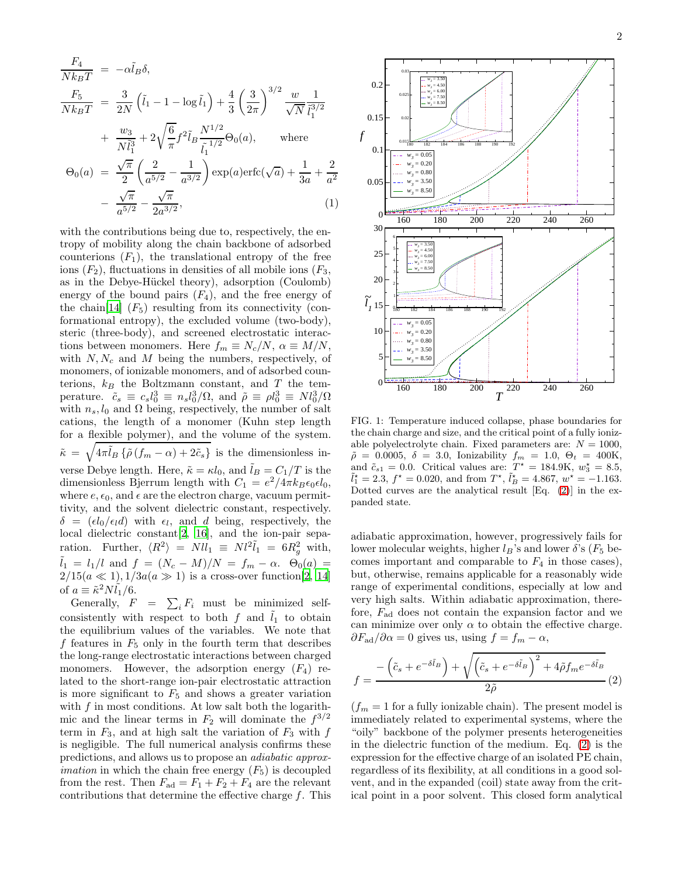$$
\frac{F_4}{Nk_BT} = -\alpha \tilde{l}_B \delta,
$$
\n
$$
\frac{F_5}{Nk_BT} = \frac{3}{2N} \left( \tilde{l}_1 - 1 - \log \tilde{l}_1 \right) + \frac{4}{3} \left( \frac{3}{2\pi} \right)^{3/2} \frac{w}{\sqrt{N}} \frac{1}{\tilde{l}_1^{3/2}}
$$
\n
$$
+ \frac{w_3}{N\tilde{l}_1^3} + 2\sqrt{\frac{6}{\pi}} f^2 \tilde{l}_B \frac{N^{1/2}}{\tilde{l}_1^{1/2}} \Theta_0(a), \quad \text{where}
$$
\n
$$
\Theta_0(a) = \frac{\sqrt{\pi}}{2} \left( \frac{2}{a^{5/2}} - \frac{1}{a^{3/2}} \right) \exp(a) \text{erfc}(\sqrt{a}) + \frac{1}{3a} + \frac{2}{a^2}
$$
\n
$$
- \frac{\sqrt{\pi}}{a^{5/2}} - \frac{\sqrt{\pi}}{2a^{3/2}}, \tag{1}
$$

 $a^{5/2}$ 

 $2a^{3/2}$ 

with the contributions being due to, respectively, the entropy of mobility along the chain backbone of adsorbed counterions  $(F_1)$ , the translational entropy of the free ions  $(F_2)$ , fluctuations in densities of all mobile ions  $(F_3)$ , as in the Debye-Hückel theory), adsorption (Coulomb) energy of the bound pairs  $(F_4)$ , and the free energy of the chain[\[14\]](#page-3-13)  $(F_5)$  resulting from its connectivity (conformational entropy), the excluded volume (two-body), steric (three-body), and screened electrostatic interactions between monomers. Here  $f_m \equiv N_c/N$ ,  $\alpha \equiv M/N$ , with  $N, N_c$  and M being the numbers, respectively, of monomers, of ionizable monomers, and of adsorbed counterions,  $k_B$  the Boltzmann constant, and T the temperature.  $\tilde{c}_s \equiv c_s l_0^3 \equiv n_s l_0^3 / \Omega$ , and  $\tilde{\rho} \equiv \rho l_0^3 \equiv N l_0^3 / \Omega$ with  $n_s, l_0$  and  $\Omega$  being, respectively, the number of salt cations, the length of a monomer (Kuhn step length for a flexible polymer), and the volume of the system.  $\tilde{\kappa} = \sqrt{4\pi \tilde{l}_B \left\{ \tilde{\rho} \left(f_m - \alpha\right) + 2\tilde{c}_s \right\}}$  is the dimensionless inverse Debye length. Here,  $\tilde{\kappa} = \kappa l_0$ , and  $\tilde{l}_B = C_1/T$  is the dimensionless Bjerrum length with  $C_1 = e^2/4\pi k_B \epsilon_0 \epsilon l_0$ , where  $e, \epsilon_0$ , and  $\epsilon$  are the electron charge, vacuum permittivity, and the solvent dielectric constant, respectively.  $\delta = (\epsilon l_0 / \epsilon_l d)$  with  $\epsilon_l$ , and d being, respectively, the local dielectric constant[\[2,](#page-3-1) [16\]](#page-3-15), and the ion-pair separation. Further,  $\langle R^2 \rangle = N l l_1 \equiv N l^2 \tilde{l}_1 = 6 R_g^2$  with,  $\tilde{l}_1 = l_1/l$  and  $f = (N_c - M)/N = f_m - \alpha$ .  $\Theta_0(a) =$  $2/15(a \ll 1), 1/3a(a \gg 1)$  is a cross-over function[\[2,](#page-3-1) [14](#page-3-13)] of  $a \equiv \tilde{\kappa}^2 N \tilde{l}_1/6$ .

Generally,  $F = \sum_i F_i$  must be minimized selfconsistently with respect to both f and  $\tilde{l}_1$  to obtain the equilibrium values of the variables. We note that f features in  $F_5$  only in the fourth term that describes the long-range electrostatic interactions between charged monomers. However, the adsorption energy  $(F_4)$  related to the short-range ion-pair electrostatic attraction is more significant to  $F_5$  and shows a greater variation with  $f$  in most conditions. At low salt both the logarithmic and the linear terms in  $F_2$  will dominate the  $f^{3/2}$ term in  $F_3$ , and at high salt the variation of  $F_3$  with f is negligible. The full numerical analysis confirms these predictions, and allows us to propose an adiabatic approx*imation* in which the chain free energy  $(F_5)$  is decoupled from the rest. Then  $F_{ad} = F_1 + F_2 + F_4$  are the relevant contributions that determine the effective charge f. This



<span id="page-1-1"></span>FIG. 1: Temperature induced collapse, phase boundaries for the chain charge and size, and the critical point of a fully ionizable polyelectrolyte chain. Fixed parameters are:  $N = 1000$ ,  $\tilde{\rho} = 0.0005, \delta = 3.0,$  Ionizability  $f_m = 1.0, \Theta_t = 400$ K, and  $\tilde{c}_{s1} = 0.0$ . Critical values are:  $T^* = 184.9$ K,  $w_3^* = 8.5$ ,  $\tilde{l}_1^* = 2.3, f^* = 0.020$ , and from  $T^*, \tilde{l}_B^* = 4.867, w^* = -1.163$ . Dotted curves are the analytical result [Eq. [\(2\)](#page-1-0)] in the expanded state.

adiabatic approximation, however, progressively fails for lower molecular weights, higher  $l_B$ 's and lower  $\delta$ 's ( $F_5$  becomes important and comparable to  $F_4$  in those cases), but, otherwise, remains applicable for a reasonably wide range of experimental conditions, especially at low and very high salts. Within adiabatic approximation, therefore,  $F_{\text{ad}}$  does not contain the expansion factor and we can minimize over only  $\alpha$  to obtain the effective charge.  $\partial F_{\rm ad}/\partial \alpha = 0$  gives us, using  $f = f_m - \alpha$ ,

<span id="page-1-0"></span>
$$
f = \frac{-\left(\tilde{c}_s + e^{-\delta \tilde{l}_B}\right) + \sqrt{\left(\tilde{c}_s + e^{-\delta \tilde{l}_B}\right)^2 + 4\tilde{\rho}f_m e^{-\delta \tilde{l}_B}}}{2\tilde{\rho}}(2)
$$

 $(f_m = 1$  for a fully ionizable chain). The present model is immediately related to experimental systems, where the "oily" backbone of the polymer presents heterogeneities in the dielectric function of the medium. Eq. [\(2\)](#page-1-0) is the expression for the effective charge of an isolated PE chain, regardless of its flexibility, at all conditions in a good solvent, and in the expanded (coil) state away from the critical point in a poor solvent. This closed form analytical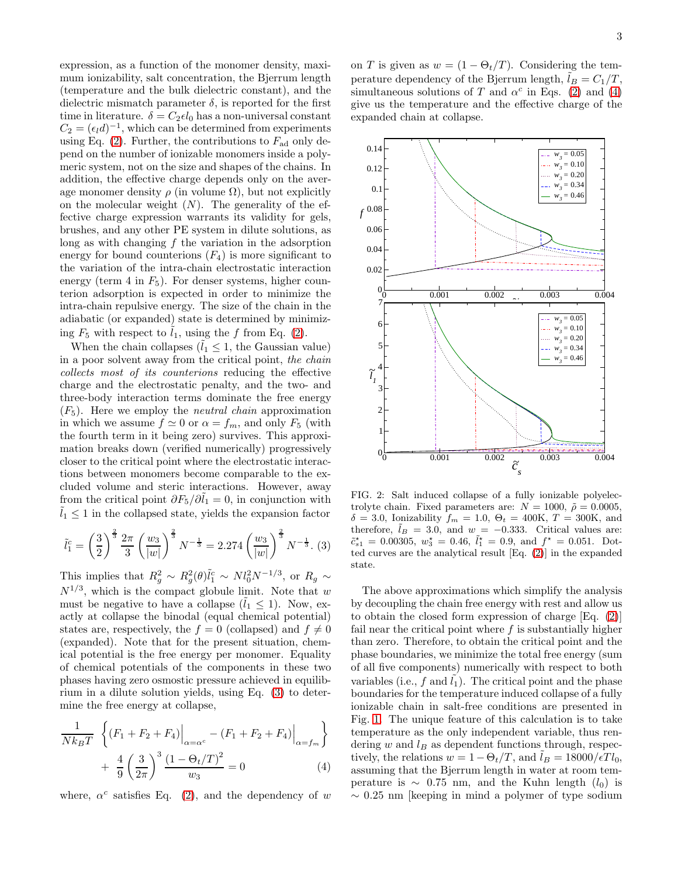expression, as a function of the monomer density, maximum ionizability, salt concentration, the Bjerrum length (temperature and the bulk dielectric constant), and the dielectric mismatch parameter  $\delta$ , is reported for the first time in literature.  $\delta = C_2 \epsilon l_0$  has a non-universal constant  $C_2 = (\epsilon_i d)^{-1}$ , which can be determined from experiments using Eq. [\(2\)](#page-1-0). Further, the contributions to  $F_{\rm ad}$  only depend on the number of ionizable monomers inside a polymeric system, not on the size and shapes of the chains. In addition, the effective charge depends only on the average monomer density  $\rho$  (in volume  $\Omega$ ), but not explicitly on the molecular weight  $(N)$ . The generality of the effective charge expression warrants its validity for gels, brushes, and any other PE system in dilute solutions, as long as with changing  $f$  the variation in the adsorption energy for bound counterions  $(F_4)$  is more significant to the variation of the intra-chain electrostatic interaction energy (term 4 in  $F_5$ ). For denser systems, higher counterion adsorption is expected in order to minimize the intra-chain repulsive energy. The size of the chain in the adiabatic (or expanded) state is determined by minimizing  $F_5$  with respect to  $\tilde{l}_1$ , using the f from Eq. [\(2\)](#page-1-0).

When the chain collapses  $(\tilde{l}_1 \leq 1,$  the Gaussian value) in a poor solvent away from the critical point, the chain collects most of its counterions reducing the effective charge and the electrostatic penalty, and the two- and three-body interaction terms dominate the free energy  $(F_5)$ . Here we employ the *neutral chain* approximation in which we assume  $f \simeq 0$  or  $\alpha = f_m$ , and only  $F_5$  (with the fourth term in it being zero) survives. This approximation breaks down (verified numerically) progressively closer to the critical point where the electrostatic interactions between monomers become comparable to the excluded volume and steric interactions. However, away from the critical point  $\partial F_5/\partial \tilde{l}_1 = 0$ , in conjunction with  $l_1 \leq 1$  in the collapsed state, yields the expansion factor

<span id="page-2-0"></span>
$$
\tilde{l}_1^c = \left(\frac{3}{2}\right)^{\frac{2}{3}} \frac{2\pi}{3} \left(\frac{w_3}{|w|}\right)^{\frac{2}{3}} N^{-\frac{1}{3}} = 2.274 \left(\frac{w_3}{|w|}\right)^{\frac{2}{3}} N^{-\frac{1}{3}}.
$$
 (3)

This implies that  $R_g^2 \sim R_g^2(\theta)\tilde{l}_1^c \sim N l_0^2 N^{-1/3}$ , or  $R_g \sim$  $N^{1/3}$ , which is the compact globule limit. Note that w must be negative to have a collapse  $(l_1 \leq 1)$ . Now, exactly at collapse the binodal (equal chemical potential) states are, respectively, the  $f = 0$  (collapsed) and  $f \neq 0$ (expanded). Note that for the present situation, chemical potential is the free energy per monomer. Equality of chemical potentials of the components in these two phases having zero osmostic pressure achieved in equilibrium in a dilute solution yields, using Eq. [\(3\)](#page-2-0) to determine the free energy at collapse,

<span id="page-2-1"></span>
$$
\frac{1}{Nk_BT} \left\{ (F_1 + F_2 + F_4) \Big|_{\alpha = \alpha^c} - (F_1 + F_2 + F_4) \Big|_{\alpha = f_m} \right\} \n+ \frac{4}{9} \left( \frac{3}{2\pi} \right)^3 \frac{(1 - \Theta_t/T)^2}{w_3} = 0
$$
\n(4)

where,  $\alpha^c$  satisfies Eq. [\(2\)](#page-1-0), and the dependency of w

on T is given as  $w = (1 - \Theta_t/T)$ . Considering the temperature dependency of the Bjerrum length,  $l_B = C_1/T$ , simultaneous solutions of T and  $\alpha^c$  in Eqs. [\(2\)](#page-1-0) and [\(4\)](#page-2-1) give us the temperature and the effective charge of the expanded chain at collapse.



<span id="page-2-2"></span>FIG. 2: Salt induced collapse of a fully ionizable polyelectrolyte chain. Fixed parameters are:  $N = 1000, \ \tilde{\rho} = 0.0005$ ,  $\delta = 3.0$ , Ionizability  $f_m = 1.0$ ,  $\Theta_t = 400$ K,  $T = 300$ K, and therefore,  $\tilde{l}_B = 3.0$ , and  $w = -0.333$ . Critical values are:  $\tilde{c}_{s1}^* = 0.00305, w_3^* = 0.46, \tilde{l}_1^* = 0.9$ , and  $f^* = 0.051$ . Dotted curves are the analytical result [Eq. [\(2\)](#page-1-0)] in the expanded state.

The above approximations which simplify the analysis by decoupling the chain free energy with rest and allow us to obtain the closed form expression of charge [Eq. [\(2\)](#page-1-0)] fail near the critical point where  $f$  is substantially higher than zero. Therefore, to obtain the critical point and the phase boundaries, we minimize the total free energy (sum of all five components) numerically with respect to both variables (i.e.,  $f$  and  $l_1$ ). The critical point and the phase boundaries for the temperature induced collapse of a fully ionizable chain in salt-free conditions are presented in Fig. [1.](#page-1-1) The unique feature of this calculation is to take temperature as the only independent variable, thus rendering w and  $l_B$  as dependent functions through, respectively, the relations  $w = 1 - \Theta_t/T$ , and  $\tilde{l}_B = 18000/\epsilon T l_0$ , assuming that the Bjerrum length in water at room temperature is  $\sim 0.75$  nm, and the Kuhn length  $(l_0)$  is  $\sim 0.25$  nm [keeping in mind a polymer of type sodium